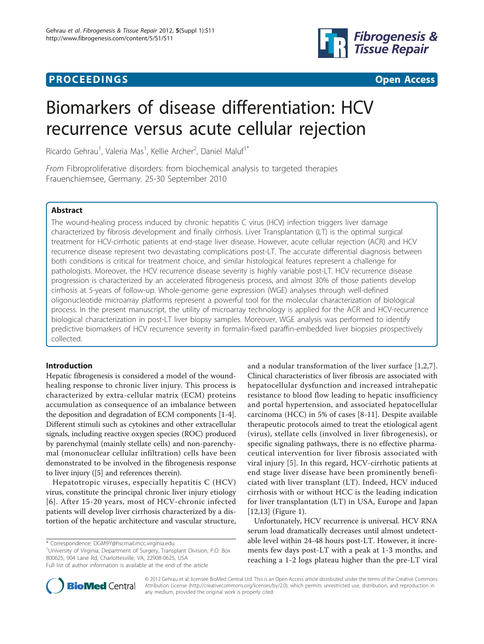## **PROCEEDINGS CONSUMING S** Open Access **CONSUMING S**



# Biomarkers of disease differentiation: HCV recurrence versus acute cellular rejection

Ricardo Gehrau<sup>1</sup>, Valeria Mas<sup>1</sup>, Kellie Archer<sup>2</sup>, Daniel Maluf<sup>1\*</sup>

From Fibroproliferative disorders: from biochemical analysis to targeted therapies Frauenchiemsee, Germany. 25-30 September 2010

## Abstract

The wound-healing process induced by chronic hepatitis C virus (HCV) infection triggers liver damage characterized by fibrosis development and finally cirrhosis. Liver Transplantation (LT) is the optimal surgical treatment for HCV-cirrhotic patients at end-stage liver disease. However, acute cellular rejection (ACR) and HCV recurrence disease represent two devastating complications post-LT. The accurate differential diagnosis between both conditions is critical for treatment choice, and similar histological features represent a challenge for pathologists. Moreover, the HCV recurrence disease severity is highly variable post-LT. HCV recurrence disease progression is characterized by an accelerated fibrogenesis process, and almost 30% of those patients develop cirrhosis at 5-years of follow-up. Whole-genome gene expression (WGE) analyses through well-defined oligonucleotide microarray platforms represent a powerful tool for the molecular characterization of biological process. In the present manuscript, the utility of microarray technology is applied for the ACR and HCV-recurrence biological characterization in post-LT liver biopsy samples. Moreover, WGE analysis was performed to identify predictive biomarkers of HCV recurrence severity in formalin-fixed paraffin-embedded liver biopsies prospectively collected.

## Introduction

Hepatic fibrogenesis is considered a model of the woundhealing response to chronic liver injury. This process is characterized by extra-cellular matrix (ECM) proteins accumulation as consequence of an imbalance between the deposition and degradation of ECM components [\[1](#page-5-0)-[4](#page-5-0)]. Different stimuli such as cytokines and other extracellular signals, including reactive oxygen species (ROC) produced by parenchymal (mainly stellate cells) and non-parenchymal (mononuclear cellular infiltration) cells have been demonstrated to be involved in the fibrogenesis response to liver injury ([\[5](#page-5-0)] and references therein).

Hepatotropic viruses, especially hepatitis C (HCV) virus, constitute the principal chronic liver injury etiology [[6](#page-5-0)]. After 15-20 years, most of HCV-chronic infected patients will develop liver cirrhosis characterized by a distortion of the hepatic architecture and vascular structure,

\* Correspondence: [DGM9Y@hscmail.mcc.virginia.edu](mailto:DGM9Y@hscmail.mcc.virginia.edu)

<sup>1</sup>University of Virginia, Department of Surgery, Transplant Division, P.O. Box 800625, 904 Lane Rd, Charlottesville, VA, 22908-0625, USA Full list of author information is available at the end of the article

Unfortunately, HCV recurrence is universal. HCV RNA serum load dramatically decreases until almost undetectable level within 24-48 hours post-LT. However, it increments few days post-LT with a peak at 1-3 months, and reaching a 1-2 logs plateau higher than the pre-LT viral



© 2012 Gehrau et al; licensee BioMed Central Ltd. This is an Open Access article distributed under the terms of the Creative Commons Attribution License [\(http://creativecommons.org/licenses/by/2.0](http://creativecommons.org/licenses/by/2.0)), which permits unrestricted use, distribution, and reproduction in any medium, provided the original work is properly cited.

and a nodular transformation of the liver surface [[1,2,7](#page-5-0)]. Clinical characteristics of liver fibrosis are associated with hepatocellular dysfunction and increased intrahepatic resistance to blood flow leading to hepatic insufficiency and portal hypertension, and associated hepatocellular carcinoma (HCC) in 5% of cases [\[8](#page-5-0)-[11\]](#page-5-0). Despite available therapeutic protocols aimed to treat the etiological agent (virus), stellate cells (involved in liver fibrogenesis), or specific signaling pathways, there is no effective pharmaceutical intervention for liver fibrosis associated with viral injury [\[5](#page-5-0)]. In this regard, HCV-cirrhotic patients at end stage liver disease have been prominently beneficiated with liver transplant (LT). Indeed, HCV induced cirrhosis with or without HCC is the leading indication for liver transplantation (LT) in USA, Europe and Japan [[12,13\]](#page-5-0) (Figure [1\)](#page-1-0).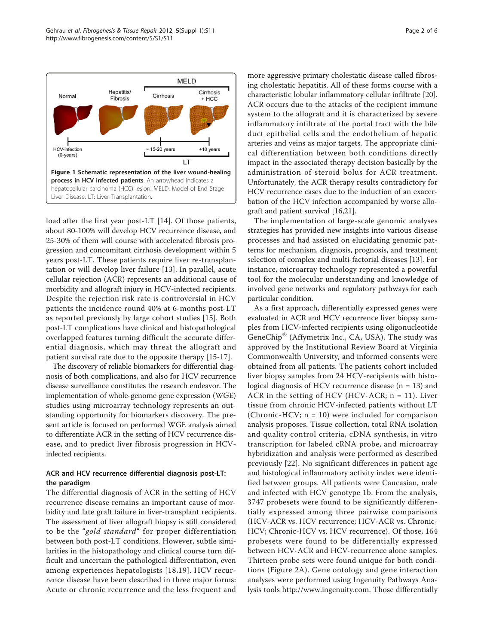<span id="page-1-0"></span>

load after the first year post-LT [[14](#page-5-0)]. Of those patients, about 80-100% will develop HCV recurrence disease, and 25-30% of them will course with accelerated fibrosis progression and concomitant cirrhosis development within 5 years post-LT. These patients require liver re-transplantation or will develop liver failure [[13\]](#page-5-0). In parallel, acute cellular rejection (ACR) represents an additional cause of morbidity and allograft injury in HCV-infected recipients. Despite the rejection risk rate is controversial in HCV patients the incidence round 40% at 6-months post-LT as reported previously by large cohort studies [[15](#page-5-0)]. Both post-LT complications have clinical and histopathological overlapped features turning difficult the accurate differential diagnosis, which may threat the allograft and patient survival rate due to the opposite therapy [\[15](#page-5-0)-[17](#page-5-0)].

The discovery of reliable biomarkers for differential diagnosis of both complications, and also for HCV recurrence disease surveillance constitutes the research endeavor. The implementation of whole-genome gene expression (WGE) studies using microarray technology represents an outstanding opportunity for biomarkers discovery. The present article is focused on performed WGE analysis aimed to differentiate ACR in the setting of HCV recurrence disease, and to predict liver fibrosis progression in HCVinfected recipients.

## ACR and HCV recurrence differential diagnosis post-LT: the paradigm

The differential diagnosis of ACR in the setting of HCV recurrence disease remains an important cause of morbidity and late graft failure in liver-transplant recipients. The assessment of liver allograft biopsy is still considered to be the "gold standard" for proper differentiation between both post-LT conditions. However, subtle similarities in the histopathology and clinical course turn difficult and uncertain the pathological differentiation, even among experiences hepatologists [[18](#page-5-0),[19\]](#page-5-0). HCV recurrence disease have been described in three major forms: Acute or chronic recurrence and the less frequent and more aggressive primary cholestatic disease called fibrosing cholestatic hepatitis. All of these forms course with a characteristic lobular inflammatory cellular infiltrate [[20](#page-5-0)]. ACR occurs due to the attacks of the recipient immune system to the allograft and it is characterized by severe inflammatory infiltrate of the portal tract with the bile duct epithelial cells and the endothelium of hepatic arteries and veins as major targets. The appropriate clinical differentiation between both conditions directly impact in the associated therapy decision basically by the administration of steroid bolus for ACR treatment. Unfortunately, the ACR therapy results contradictory for HCV recurrence cases due to the induction of an exacerbation of the HCV infection accompanied by worse allograft and patient survival [[16,21](#page-5-0)].

The implementation of large-scale genomic analyses strategies has provided new insights into various disease processes and had assisted on elucidating genomic patterns for mechanism, diagnosis, prognosis, and treatment selection of complex and multi-factorial diseases [[13\]](#page-5-0). For instance, microarray technology represented a powerful tool for the molecular understanding and knowledge of involved gene networks and regulatory pathways for each particular condition.

As a first approach, differentially expressed genes were evaluated in ACR and HCV recurrence liver biopsy samples from HCV-infected recipients using oligonucleotide GeneChip® (Affymetrix Inc., CA, USA). The study was approved by the Institutional Review Board at Virginia Commonwealth University, and informed consents were obtained from all patients. The patients cohort included liver biopsy samples from 24 HCV-recipients with histological diagnosis of HCV recurrence disease  $(n = 13)$  and ACR in the setting of HCV (HCV-ACR;  $n = 11$ ). Liver tissue from chronic HCV-infected patients without LT (Chronic-HCV; n = 10) were included for comparison analysis proposes. Tissue collection, total RNA isolation and quality control criteria, cDNA synthesis, in vitro transcription for labeled cRNA probe, and microarray hybridization and analysis were performed as described previously [[22\]](#page-5-0). No significant differences in patient age and histological inflammatory activity index were identified between groups. All patients were Caucasian, male and infected with HCV genotype 1b. From the analysis, 3747 probesets were found to be significantly differentially expressed among three pairwise comparisons (HCV-ACR vs. HCV recurrence; HCV-ACR vs. Chronic-HCV; Chronic-HCV vs. HCV recurrence). Of those, 164 probesets were found to be differentially expressed between HCV-ACR and HCV-recurrence alone samples. Thirteen probe sets were found unique for both conditions (Figure [2A](#page-2-0)). Gene ontology and gene interaction analyses were performed using Ingenuity Pathways Analysis tools<http://www.ingenuity.com>. Those differentially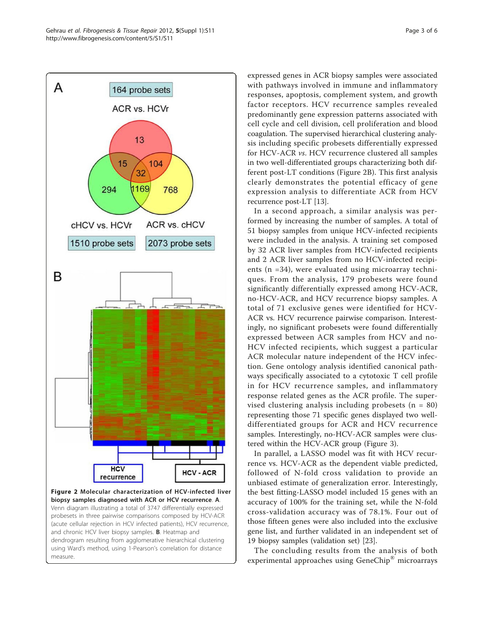<span id="page-2-0"></span>

expressed genes in ACR biopsy samples were associated with pathways involved in immune and inflammatory responses, apoptosis, complement system, and growth factor receptors. HCV recurrence samples revealed predominantly gene expression patterns associated with cell cycle and cell division, cell proliferation and blood coagulation. The supervised hierarchical clustering analysis including specific probesets differentially expressed for HCV-ACR vs. HCV recurrence clustered all samples in two well-differentiated groups characterizing both different post-LT conditions (Figure 2B). This first analysis clearly demonstrates the potential efficacy of gene expression analysis to differentiate ACR from HCV recurrence post-LT [[13](#page-5-0)].

In a second approach, a similar analysis was performed by increasing the number of samples. A total of 51 biopsy samples from unique HCV-infected recipients were included in the analysis. A training set composed by 32 ACR liver samples from HCV-infected recipients and 2 ACR liver samples from no HCV-infected recipients (n =34), were evaluated using microarray techniques. From the analysis, 179 probesets were found significantly differentially expressed among HCV-ACR, no-HCV-ACR, and HCV recurrence biopsy samples. A total of 71 exclusive genes were identified for HCV-ACR vs. HCV recurrence pairwise comparison. Interestingly, no significant probesets were found differentially expressed between ACR samples from HCV and no-HCV infected recipients, which suggest a particular ACR molecular nature independent of the HCV infection. Gene ontology analysis identified canonical pathways specifically associated to a cytotoxic T cell profile in for HCV recurrence samples, and inflammatory response related genes as the ACR profile. The supervised clustering analysis including probesets  $(n = 80)$ representing those 71 specific genes displayed two welldifferentiated groups for ACR and HCV recurrence samples. Interestingly, no-HCV-ACR samples were clustered within the HCV-ACR group (Figure [3](#page-3-0)).

In parallel, a LASSO model was fit with HCV recurrence vs. HCV-ACR as the dependent viable predicted, followed of N-fold cross validation to provide an unbiased estimate of generalization error. Interestingly, the best fitting-LASSO model included 15 genes with an accuracy of 100% for the training set, while the N-fold cross-validation accuracy was of 78.1%. Four out of those fifteen genes were also included into the exclusive gene list, and further validated in an independent set of 19 biopsy samples (validation set) [\[23](#page-5-0)].

The concluding results from the analysis of both experimental approaches using GeneChip® microarrays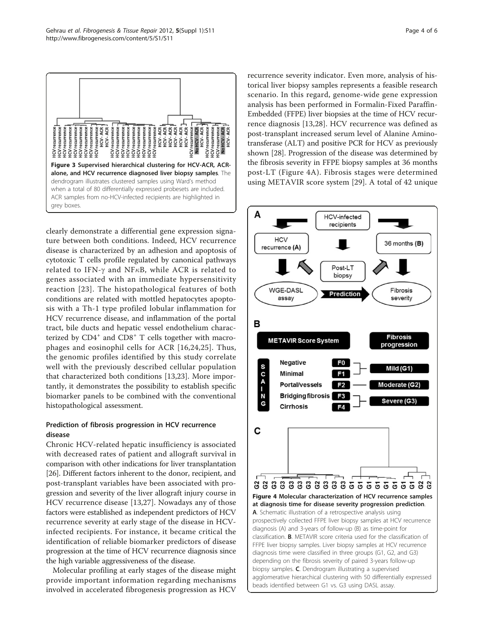

<span id="page-3-0"></span>

clearly demonstrate a differential gene expression signature between both conditions. Indeed, HCV recurrence disease is characterized by an adhesion and apoptosis of cytotoxic T cells profile regulated by canonical pathways related to IFN- $\gamma$  and NF $\kappa$ B, while ACR is related to genes associated with an immediate hypersensitivity reaction [[23](#page-5-0)]. The histopathological features of both conditions are related with mottled hepatocytes apoptosis with a Th-1 type profiled lobular inflammation for HCV recurrence disease, and inflammation of the portal tract, bile ducts and hepatic vessel endothelium characterized by  $CD4^+$  and  $CD8^+$  T cells together with macrophages and eosinophil cells for ACR [[16,24,25](#page-5-0)]. Thus, the genomic profiles identified by this study correlate well with the previously described cellular population that characterized both conditions [[13,23\]](#page-5-0). More importantly, it demonstrates the possibility to establish specific biomarker panels to be combined with the conventional histopathological assessment.

## Prediction of fibrosis progression in HCV recurrence disease

Chronic HCV-related hepatic insufficiency is associated with decreased rates of patient and allograft survival in comparison with other indications for liver transplantation [[26](#page-5-0)]. Different factors inherent to the donor, recipient, and post-transplant variables have been associated with progression and severity of the liver allograft injury course in HCV recurrence disease [[13,27](#page-5-0)]. Nowadays any of those factors were established as independent predictors of HCV recurrence severity at early stage of the disease in HCVinfected recipients. For instance, it became critical the identification of reliable biomarker predictors of disease progression at the time of HCV recurrence diagnosis since the high variable aggressiveness of the disease.

Molecular profiling at early stages of the disease might provide important information regarding mechanisms involved in accelerated fibrogenesis progression as HCV recurrence severity indicator. Even more, analysis of historical liver biopsy samples represents a feasible research scenario. In this regard, genome-wide gene expression analysis has been performed in Formalin-Fixed Paraffin-Embedded (FFPE) liver biopsies at the time of HCV recurrence diagnosis [\[13](#page-5-0),[28\]](#page-5-0). HCV recurrence was defined as post-transplant increased serum level of Alanine Aminotransferase (ALT) and positive PCR for HCV as previously shown [[28\]](#page-5-0). Progression of the disease was determined by the fibrosis severity in FFPE biopsy samples at 36 months post-LT (Figure 4A). Fibrosis stages were determined using METAVIR score system [\[29](#page-5-0)]. A total of 42 unique

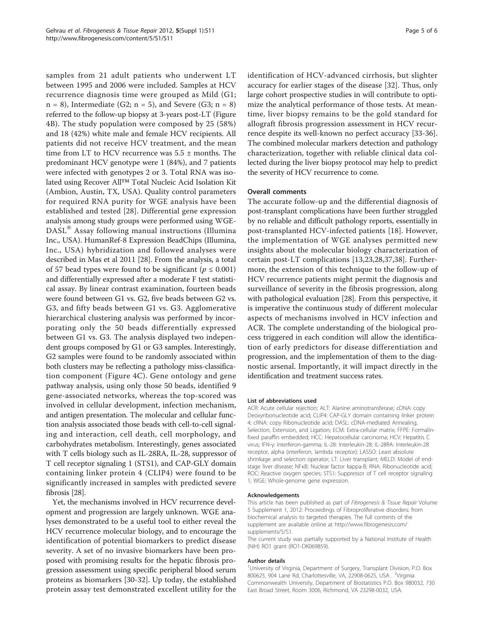samples from 21 adult patients who underwent LT between 1995 and 2006 were included. Samples at HCV recurrence diagnosis time were grouped as Mild (G1;  $n = 8$ ), Intermediate (G2;  $n = 5$ ), and Severe (G3;  $n = 8$ ) referred to the follow-up biopsy at 3-years post-LT (Figure [4B\)](#page-3-0). The study population were composed by 25 (58%) and 18 (42%) white male and female HCV recipients. All patients did not receive HCV treatment, and the mean time from LT to HCV recurrence was  $5.5 \pm$  months. The predominant HCV genotype were 1 (84%), and 7 patients were infected with genotypes 2 or 3. Total RNA was isolated using Recover All™ Total Nucleic Acid Isolation Kit (Ambion, Austin, TX, USA). Quality control parameters for required RNA purity for WGE analysis have been established and tested [[28](#page-5-0)]. Differential gene expression analysis among study groups were performed using WGE-DASL® Assay following manual instructions (Illumina Inc., USA). HumanRef-8 Expression BeadChips (Illumina, Inc., USA) hybridization and followed analyses were described in Mas et al 2011 [[28](#page-5-0)]. From the analysis, a total of 57 bead types were found to be significant ( $p \le 0.001$ ) and differentially expressed after a moderate F test statistical assay. By linear contrast examination, fourteen beads were found between G1 vs. G2, five beads between G2 vs. G3, and fifty beads between G1 vs. G3. Agglomerative hierarchical clustering analysis was performed by incorporating only the 50 beads differentially expressed between G1 vs. G3. The analysis displayed two independent groups composed by G1 or G3 samples. Interestingly, G2 samples were found to be randomly associated within both clusters may be reflecting a pathology miss-classification component (Figure [4C\)](#page-3-0). Gene ontology and gene pathway analysis, using only those 50 beads, identified 9 gene-associated networks, whereas the top-scored was involved in cellular development, infection mechanism, and antigen presentation. The molecular and cellular function analysis associated those beads with cell-to-cell signaling and interaction, cell death, cell morphology, and carbohydrates metabolism. Interestingly, genes associated with T cells biology such as IL-28RA, IL-28, suppressor of T cell receptor signaling 1 (STS1), and CAP-GLY domain containing linker protein 4 (CLIP4) were found to be significantly increased in samples with predicted severe fibrosis [\[28\]](#page-5-0).

Yet, the mechanisms involved in HCV recurrence development and progression are largely unknown. WGE analyses demonstrated to be a useful tool to either reveal the HCV recurrence molecular biology, and to encourage the identification of potential biomarkers to predict disease severity. A set of no invasive biomarkers have been proposed with promising results for the hepatic fibrosis progression assessment using specific peripheral blood serum proteins as biomarkers [[30-32](#page-5-0)]. Up today, the established protein assay test demonstrated excellent utility for the identification of HCV-advanced cirrhosis, but slighter accuracy for earlier stages of the disease [\[32](#page-5-0)]. Thus, only large cohort prospective studies in will contribute to optimize the analytical performance of those tests. At meantime, liver biopsy remains to be the gold standard for allograft fibrosis progression assessment in HCV recurrence despite its well-known no perfect accuracy [\[33-36](#page-5-0)]. The combined molecular markers detection and pathology characterization, together with reliable clinical data collected during the liver biopsy protocol may help to predict the severity of HCV recurrence to come.

### Overall comments

The accurate follow-up and the differential diagnosis of post-transplant complications have been further struggled by no reliable and difficult pathology reports, essentially in post-transplanted HCV-infected patients [[18\]](#page-5-0). However, the implementation of WGE analyses permitted new insights about the molecular biology characterization of certain post-LT complications [[13,23,28,37,38](#page-5-0)]. Furthermore, the extension of this technique to the follow-up of HCV recurrence patients might permit the diagnosis and surveillance of severity in the fibrosis progression, along with pathological evaluation [[28](#page-5-0)]. From this perspective, it is imperative the continuous study of different molecular aspects of mechanisms involved in HCV infection and ACR. The complete understanding of the biological process triggered in each condition will allow the identification of early predictors for disease differentiation and progression, and the implementation of them to the diagnostic arsenal. Importantly, it will impact directly in the identification and treatment success rates.

#### List of abbreviations used

ACR: Acute cellular rejection; ALT: Alanine aminotransferase; cDNA: copy Deoxyribonucleotide acid; CLIP4: CAP-GLY domain containing linker protein 4; cRNA: copy Ribonucleotide acid; DASL: cDNA-mediated Annealing, Selection, Extension, and Ligation; ECM: Extra-cellular matrix; FFPE: Formalinfixed paraffin embedded; HCC: Hepatocellular carcinoma; HCV: Hepatitis C virus; IFN-γ: Interferon-gamma; IL-28: Interleukin-28; IL-28RA: Interleukin-28 receptor, alpha (interferon, lambda receptor); LASSO: Least absolute shrinkage and selection operator; LT: Liver transplant; MELD: Model of endstage liver disease; NFκB: Nuclear factor kappa-B; RNA: Ribonucleotide acid; ROC: Reactive oxygen species; STS1: Suppressor of T cell receptor signaling 1; WGE: Whole-genome gene expression.

#### Acknowledgements

This article has been published as part of Fibrogenesis & Tissue Repair Volume 5 Supplement 1, 2012: Proceedings of Fibroproliferative disorders: from biochemical analysis to targeted therapies. The full contents of the supplement are available online at [http://www.fibrogenesis.com/](http://www.fibrogenesis.com/supplements/5/S1) [supplements/5/S1.](http://www.fibrogenesis.com/supplements/5/S1)

The current study was partially supported by a National Institute of Health (NIH) RO1 grant (RO1-DK069859).

#### Author details

<sup>1</sup>University of Virginia, Department of Surgery, Transplant Division, P.O. Box 800625, 904 Lane Rd, Charlottesville, VA, 22908-0625, USA . <sup>2</sup>Virginia Commonwealth University, Department of Biostatistics P.O. Box 980032, 730 East Broad Street, Room 3006, Richmond, VA 23298-0032, USA.